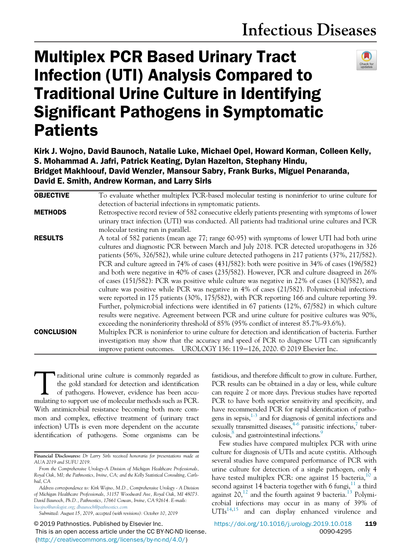# Multiplex PCR Based Urinary Tract Infection (UTI) Analysis Compared to Traditional Urine Culture in Identifying Significant Pathogens in Symptomatic **Patients**



Kirk J. Wojno, David Baunoch, Natalie Luke, Michael Opel, Howard Korman, Colleen Kelly, S. Mohammad A. Jafri, Patrick Keating, Dylan Hazelton, Stephany Hindu, Bridget Makhloouf, David Wenzler, Mansour Sabry, Frank Burks, Miguel Penaranda, David E. Smith, Andrew Korman, and Larry Sirls

| <b>OBJECTIVE</b>  | To evaluate whether multiplex PCR-based molecular testing is noninferior to urine culture for       |  |
|-------------------|-----------------------------------------------------------------------------------------------------|--|
|                   | detection of bacterial infections in symptomatic patients.                                          |  |
| <b>METHODS</b>    | Retrospective record review of 582 consecutive elderly patients presenting with symptoms of lower   |  |
|                   | urinary tract infection (UTI) was conducted. All patients had traditional urine cultures and PCR    |  |
|                   | molecular testing run in parallel.                                                                  |  |
| <b>RESULTS</b>    | A total of 582 patients (mean age 77; range 60-95) with symptoms of lower UTI had both urine        |  |
|                   | cultures and diagnostic PCR between March and July 2018. PCR detected uropathogens in 326           |  |
|                   | patients (56%, 326/582), while urine culture detected pathogens in 217 patients (37%, 217/582).     |  |
|                   | PCR and culture agreed in 74% of cases (431/582): both were positive in 34% of cases (196/582)      |  |
|                   | and both were negative in 40% of cases (235/582). However, PCR and culture disagreed in 26%         |  |
|                   | of cases (151/582): PCR was positive while culture was negative in 22% of cases (130/582), and      |  |
|                   | culture was positive while PCR was negative in 4% of cases (21/582). Polymicrobial infections       |  |
|                   | were reported in 175 patients (30%, 175/582), with PCR reporting 166 and culture reporting 39.      |  |
|                   | Further, polymicrobial infections were identified in 67 patients (12%, 67/582) in which culture     |  |
|                   | results were negative. Agreement between PCR and urine culture for positive cultures was 90%,       |  |
|                   | exceeding the noninferiority threshold of 85% (95% conflict of interest 85.7%-93.6%).               |  |
| <b>CONCLUSION</b> | Multiplex PCR is noninferior to urine culture for detection and identification of bacteria. Further |  |
|                   | investigation may show that the accuracy and speed of PCR to diagnose UTI can significantly         |  |
|                   | improve patient outcomes. UROLOGY 136: 119-126, 2020. © 2019 Elsevier Inc.                          |  |

raditional urine culture is commonly regarded as<br>the gold standard for detection and identification<br>of pathogens. However, evidence has been accu-<br>mulating to support use of molecular methods such as PCR. raditional urine culture is commonly regarded as the gold standard for detection and identification of pathogens. However, evidence has been accu-With antimicrobial resistance becoming both more common and complex, effective treatment of (urinary tract infection) UTIs is even more dependent on the accurate identification of pathogens. Some organisms can be

© 2019 Pathnostics. Published by Elsevier Inc.

This is an open access article under the CC BY-NC-ND license. (http://creativecommons.org/licenses/by-nc-nd/4.0/)

fastidious, and therefore difficult to grow in culture. Further, PCR results can be obtained in a day or less, while culture can require 2 or more days. Previous studies have reported PCR to have both superior sensitivity and specificity, and have recommended PCR for rapid identification of pathogens in sepsis, $1-3$  and for diagnosis of genital infections and sexually transmitted diseases,  $4-6$  parasitic infections, $7$  tuberculosis,<sup>8</sup> and gastrointestinal infections.<sup>9</sup>

Few studies have compared multiplex PCR with urine culture for diagnosis of UTIs and acute cystitis. Although several studies have compared performance of PCR with urine culture for detection of a single pathogen, only 4 have tested multiplex PCR: one against 15 bacteria,<sup>10</sup> a second against 14 bacteria together with 6 fungi, $^{11}$  a third against  $20<sup>12</sup>$  and the fourth against 9 bacteria.<sup>13</sup> Polymicrobial infections may occur in as many of 39% of  $UTIs<sup>14,15</sup>$  and can display enhanced virulence and

Financial Disclosures: *Dr Larry Sirls received honoraria for presentations made at AUA 2019 and SUFU 2019*.

*From the Comprehensive Urology-A Division of Michigan Healthcare Professionals, Royal Oak, MI; the Pathnostics, Irvine, CA; and the Kelly Statistical Consulting, Carlsbad, CA*

*Address correspondence to: Kirk Wojno, M.D., Comprehensive Urology - A Division of Michigan Healthcare Professionals, 31157 Woodward Ave, Royal Oak, MI 48073. David Baunoch, Ph.D., Pathnostics, 17661 Cowan, Irvine, CA 92614. E-mails: kwojno@urologist.org; dbaunoch@pathnostics.com*

*Submitted: August 15, 2019, accepted (with revisions): October 10, 2019*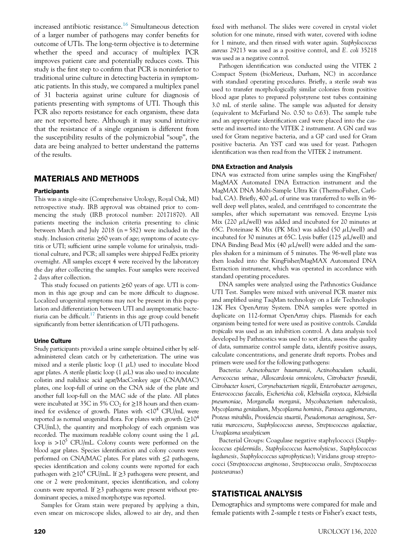increased antibiotic resistance.<sup>16</sup> Simultaneous detection of a larger number of pathogens may confer benefits for outcome of UTIs. The long-term objective is to determine whether the speed and accuracy of multiplex PCR improves patient care and potentially reduces costs. This study is the first step to confirm that PCR is noninferior to traditional urine culture in detecting bacteria in symptomatic patients. In this study, we compared a multiplex panel of 31 bacteria against urine culture for diagnosis of patients presenting with symptoms of UTI. Though this PCR also reports resistance for each organism, these data are not reported here. Although it may sound intuitive that the resistance of a single organism is different from the susceptibility results of the polymicrobial "soup", the data are being analyzed to better understand the patterns of the results.

## MATERIALS AND METHODS

### **Participants**

This was a single-site (Comprehensive Urology, Royal Oak, MI) retrospective study. IRB approval was obtained prior to commencing the study (IRB protocol number: 20171870). All patients meeting the inclusion criteria presenting to clinic between March and July 2018 (n = 582) were included in the study. Inclusion criteria: ≥60 years of age; symptoms of acute cystitis or UTI; sufficient urine sample volume for urinalysis, traditional culture, and PCR; all samples were shipped FedEx priority overnight. All samples except 4 were received by the laboratory the day after collecting the samples. Four samples were received 2 days after collection.

This study focused on patients  $\geq 60$  years of age. UTI is common in this age group and can be more difficult to diagnose. Localized urogenital symptoms may not be present in this population and differentiation between UTI and asymptomatic bacteriuria can be difficult.<sup>17</sup> Patients in this age group could benefit significantly from better identification of UTI pathogens.

#### Urine Culture

Study participants provided a urine sample obtained either by selfadministered clean catch or by catheterization. The urine was mixed and a sterile plastic loop  $(1 \mu L)$  used to inoculate blood agar plates. A sterile plastic loop  $(1 \mu L)$  was also used to inoculate colistin and nalidixic acid agar/MacConkey agar (CNA/MAC) plates, one loop-full of urine on the CNA side of the plate and another full loop-full on the MAC side of the plate. All plates were incubated at 35C in 5%  $CO<sub>2</sub>$  for  $\geq$ 18 hours and then examined for evidence of growth. Plates with  $\langle 10^4 \text{ CFU/mL} \rangle$  were reported as normal urogenital flora. For plates with growth  $(≥10<sup>4</sup>$ CFU/mL), the quantity and morphology of each organism was recorded. The maximum readable colony count using the  $1 \mu L$ loop is  $>10^5$  CFU/mL. Colony counts were performed on the blood agar plates. Species identification and colony counts were performed on CNA/MAC plates. For plates with ≤2 pathogens, species identification and colony counts were reported for each pathogen with  $\geq 10^4$  CFU/mL. If  $\geq 3$  pathogens were present, and one or 2 were predominant, species identification, and colony counts were reported. If  $\geq$ 3 pathogens were present without predominant species, a mixed morphotype was reported.

Samples for Gram stain were prepared by applying a thin, even smear on microscope slides, allowed to air dry, and then fixed with methanol. The slides were covered in crystal violet solution for one minute, rinsed with water, covered with iodine for 1 minute, and then rinsed with water again. *Staphylococcus aureus* 29213 was used as a positive control, and *E. coli* 35218 was used as a negative control.

Pathogen identification was conducted using the VITEK 2 Compact System (bioMerieux, Durham, NC) in accordance with standard operating procedures. Briefly, a sterile swab was used to transfer morphologically similar colonies from positive blood agar plates to prepared polystyrene test tubes containing 3.0 mL of sterile saline. The sample was adjusted for density (equivalent to McFarland No. 0.50 to 0.63). The sample tube and an appropriate identification card were placed into the cassette and inserted into the VITEK 2 instrument. A GN card was used for Gram negative bacteria, and a GP card used for Gram positive bacteria. An YST card was used for yeast. Pathogen identification was then read from the VITEK 2 instrument.

### DNA Extraction and Analysis

DNA was extracted from urine samples using the KingFisher/ MagMAX Automated DNA Extraction instrument and the MagMAX DNA Multi-Sample Ultra Kit (ThermoFisher, Carlsbad, CA). Briefly, 400  $\mu$ L of urine was transferred to wells in 96well deep well plates, sealed, and centrifuged to concentrate the samples, after which supernatant was removed. Enzyme Lysis Mix (220  $\mu$ L/well) was added and incubated for 20 minutes at 65C. Proteinase K Mix (PK Mix) was added (50  $\mu$ L/well) and incubated for 30 minutes at 65C. Lysis buffer (125  $\mu$ L/well) and DNA Binding Bead Mix (40  $\mu$ L/well) were added and the samples shaken for a minimum of 5 minutes. The 96-well plate was then loaded into the KingFisher/MagMAX Automated DNA Extraction instrument, which was operated in accordance with standard operating procedures.

DNA samples were analyzed using the Pathnostics Guidance UTI Test. Samples were mixed with universal PCR master mix and amplified using TaqMan technology on a Life Technologies 12K Flex OpenArray System. DNA samples were spotted in duplicate on 112-format OpenArray chips. Plasmids for each organism being tested for were used as positive controls. *Candida tropicalis* was used as an inhibition control. A data analysis tool developed by Pathnostics was used to sort data, assess the quality of data, summarize control sample data, identify positive assays, calculate concentrations, and generate draft reports. Probes and primers were used for the following pathogens:

Bacteria: *Acinetobacter baumannii*, *Actinobaculum schaalii*, *Aerococcus urinae*, *Alloscardovia omnicolens*, *Citrobacter freundii*, *Citrobacter koseri*, *Corynebacterium riegelii*, *Enterobacter aerogenes*, *Enterococcus faecalis*, *Escherichia coli*, *Klebsiella oxytoca*, *Klebsiella pneumoniae*, *Morganella morganii*, *Mycobacterium tuberculosis*, *Mycoplasma genitalium*, *Mycoplasma hominis*, *Pantoea agglomerans*, *Proteus mirabilis*, *Providencia stuartii*, *Pseudomonas aeruginosa*, *Serratia marcescens*, *Staphylococcus aureus*, *Streptococcus agalactiae*, *Ureaplasma urealyticum*

Bacterial Groups: Coagulase negative staphylococci (*Staphylococcus epidermidis, Staphylococcus haemolyticus, Staphylococcus lugdunesis, Staphylococcus saprophyticus*); Viridans group streptococci (*Streptococcus anginosus, Streptococcus oralis, Streptococcus pasteuranus*)

# STATISTICAL ANALYSIS

Demographics and symptoms were compared for male and female patients with 2-sample *t* tests or Fisher's exact tests,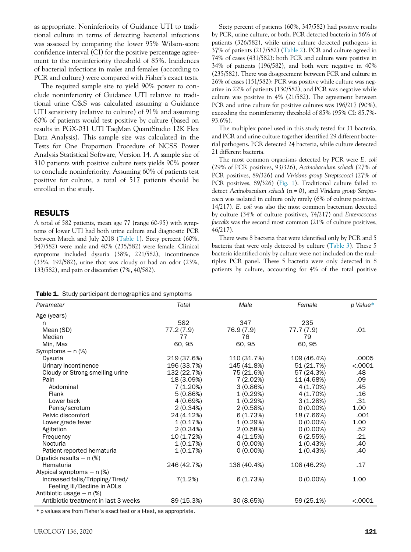as appropriate. Noninferiority of Guidance UTI to traditional culture in terms of detecting bacterial infections was assessed by comparing the lower 95% Wilson-score confidence interval (CI) for the positive percentage agreement to the noninferiority threshold of 85%. Incidences of bacterial infections in males and females (according to PCR and culture) were compared with Fisher's exact tests.

The required sample size to yield 90% power to conclude noninferiority of Guidance UTI relative to traditional urine C&S was calculated assuming a Guidance UTI sensitivity (relative to culture) of 91% and assuming 60% of patients would test positive by culture (based on results in PGX-031 UTI TaqMan QuantStudio 12K Flex Data Analysis). This sample size was calculated in the Tests for One Proportion Procedure of NCSS Power Analysis Statistical Software, Version 14. A sample size of 310 patients with positive culture tests yields 90% power to conclude noninferiority. Assuming 60% of patients test positive for culture, a total of 517 patients should be enrolled in the study.

## RESULTS

A total of 582 patients, mean age 77 (range 60-95) with symptoms of lower UTI had both urine culture and diagnostic PCR between March and July 2018 (Table 1). Sixty percent (60%, 347/582) were male and 40% (235/582) were female. Clinical symptoms included dysuria (38%, 221/582), incontinence (33%, 192/582), urine that was cloudy or had an odor (23%, 133/582), and pain or discomfort (7%, 40/582).

Sixty percent of patients (60%, 347/582) had positive results by PCR, urine culture, or both. PCR detected bacteria in 56% of patients (326/582), while urine culture detected pathogens in 37% of patients (217/582) (Table 2). PCR and culture agreed in 74% of cases (431/582): both PCR and culture were positive in 34% of patients (196/582), and both were negative in 40% (235/582). There was disagreement between PCR and culture in 26% of cases (151/582): PCR was positive while culture was negative in 22% of patients (130/582), and PCR was negative while culture was positive in 4% (21/582). The agreement between PCR and urine culture for positive cultures was 196/217 (90%), exceeding the noninferiority threshold of 85% (95% CI: 85.7%- 93.6%).

The multiplex panel used in this study tested for 31 bacteria, and PCR and urine culture together identified 29 different bacterial pathogens. PCR detected 24 bacteria, while culture detected 21 different bacteria.

The most common organisms detected by PCR were *E. coli* (29% of PCR positives, 93/326), *Actinobaculum schaali* (27% of PCR positives, 89/326) and *Viridans group Streptococci* (27% of PCR positives, 89/326) (Fig. 1). Traditional culture failed to detect *Actinobaculum schaali* (n = 0), and *Viridans group Streptococci* was isolated in culture only rarely (6% of culture positives, 14/217). *E. coli* was also the most common bacterium detected by culture (34% of culture positives, 74/217) and *Enterococcus faecalis* was the second most common (21% of culture positives, 46/217).

There were 8 bacteria that were identified only by PCR and 5 bacteria that were only detected by culture (Table 3). These 5 bacteria identified only by culture were not included on the multiplex PCR panel. These 5 bacteria were only detected in 8 patients by culture, accounting for 4% of the total positive

Table 1. Study participant demographics and symptoms

| Parameter                            | Total       | Male        | Female      | p Value* |
|--------------------------------------|-------------|-------------|-------------|----------|
| Age (years)                          |             |             |             |          |
| n                                    | 582         | 347         | 235         |          |
| Mean (SD)                            | 77.2 (7.9)  | 76.9 (7.9)  | 77.7 (7.9)  | .01      |
| Median                               | 77          | 76          | 79          |          |
| Min, Max                             | 60, 95      | 60,95       | 60, 95      |          |
| Symptoms $-$ n $(\%)$                |             |             |             |          |
| Dysuria                              | 219 (37.6%) | 110 (31.7%) | 109 (46.4%) | .0005    |
| Urinary incontinence                 | 196 (33.7%) | 145 (41.8%) | 51 (21.7%)  | < .0001  |
| Cloudy or Strong-smelling urine      | 132 (22.7%) | 75 (21.6%)  | 57 (24.3%)  | .48      |
| Pain                                 | 18 (3.09%)  | 7 (2.02%)   | 11 (4.68%)  | .09      |
| Abdominal                            | 7(1.20%)    | 3(0.86%)    | 4 (1.70%)   | .45      |
| Flank                                | 5(0.86%)    | 1(0.29%)    | 4 (1.70%)   | .16      |
| Lower back                           | 4 (0.69%)   | 1(0.29%)    | 3(1.28%)    | .31      |
| Penis/scrotum                        | 2(0.34%)    | 2(0.58%)    | $0(0.00\%)$ | 1.00     |
| Pelvic discomfort                    | 24 (4.12%)  | 6(1.73%)    | 18 (7.66%)  | .001     |
| Lower grade fever                    | 1(0.17%)    | 1(0.29%)    | $0(0.00\%)$ | 1.00     |
| Agitation                            | 2(0.34%)    | 2(0.58%)    | $0(0.00\%)$ | .52      |
| Frequency                            | 10 (1.72%)  | 4 (1.15%)   | 6(2.55%)    | .21      |
| Nocturia                             | 1(0.17%)    | $0(0.00\%)$ | 1(0.43%)    | .40      |
| Patient-reported hematuria           | 1(0.17%)    | $0(0.00\%)$ | 1(0.43%)    | .40      |
| Dipstick results $- n$ (%)           |             |             |             |          |
| Hematuria                            | 246 (42.7%) | 138 (40.4%) | 108 (46.2%) | .17      |
| Atypical symptoms $-$ n $(\%)$       |             |             |             |          |
| Increased falls/Tripping/Tired/      | 7(1.2%)     | 6(1.73%)    | $0(0.00\%)$ | 1.00     |
| Feeling III/Decline in ADLs          |             |             |             |          |
| Antibiotic usage $- n$ (%)           |             |             |             |          |
| Antibiotic treatment in last 3 weeks | 89 (15.3%)  | 30 (8.65%)  | 59 (25.1%)  | < .0001  |

\* p values are from Fisher's exact test or a t-test, as appropriate.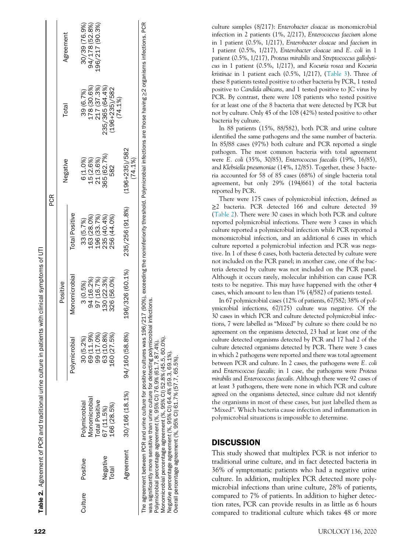|         |           |                |                | Table 2. Agreement of PCR and traditional urine culture in patients with clinical symptoms of UTI | PCR                                                                                                                                                                                               |                               |                           |                 |
|---------|-----------|----------------|----------------|---------------------------------------------------------------------------------------------------|---------------------------------------------------------------------------------------------------------------------------------------------------------------------------------------------------|-------------------------------|---------------------------|-----------------|
|         |           |                |                | Positive                                                                                          |                                                                                                                                                                                                   | Negative                      | Total                     | Agreement       |
|         |           |                | Polymicrobia   | Monomicrobial                                                                                     | <b>Total Positive</b>                                                                                                                                                                             |                               |                           |                 |
| Culture | Positive  | Polymicrobial  | 30 (5.2%       | 3(0.5%)                                                                                           | 33 (5.7%)                                                                                                                                                                                         | 6 (1.0%)                      | 39 (6.7%)                 | 30/39 (76.9%)   |
|         |           | Monomicrobia   | 69 (11.9%)     | 94 (16.2%)                                                                                        | 163 (28.0%)                                                                                                                                                                                       | 15 (2.6%)                     | 178 (30.6%)               | 94/178 (52.8%)  |
|         |           | Total Positive | 99 (17.0%)     | 97 (16.7%)                                                                                        | 196 (33.7%)                                                                                                                                                                                       | 21 (3.6%)                     | 217 (37.3%)               | 196/217 (90.3%) |
|         | Negative  | 67 (11.5%)     | 63 (10.8%)     | 130 (22.3%)                                                                                       | 235 (40.4%)                                                                                                                                                                                       | 365 (62.7%)                   | 235/365 (64.4%)           |                 |
|         | Total     | 166 (28.5%)    | 160 (27.5%)    | 326 (56.0%)                                                                                       | 256 (44.0%)                                                                                                                                                                                       | 582                           | $(196+235)/582$<br>(74.1% |                 |
|         | Agreement | 30/166 (18.1%) | 94/160 (58.8%) | 196/326 (60.1%)                                                                                   | 235/256 (91.8%)                                                                                                                                                                                   | $(196+235)/582$<br>$(74.1\%)$ |                           |                 |
|         |           |                |                |                                                                                                   | he agreement between PCR and urine culture for positive cultures was 196/217 (90%), exceding the noninferiority threshold. Polymicrobial infections are those having >2 organisms infections. PCR |                               |                           |                 |

The agreement between PCR and urine culture for positive cultures was 196/217 (90%), exceeding the noninferiority threshold. Polymicrobial infections are those having ≥2 organisms infections. PCR וויפ agreement vecween r בית שוויופ טענשט או של אפשר של בעל פעם אינו של השטיש או של השטיש או של השטיש או של ה<br>Was significantly more sensitive than urine outlure for detecting polymicrobial infections.<br>Polymicrobial perc was significantly more sensitive than urine culture for detecting polymicrobial infections.  $E$ 

Polymicrobial percentage agreement (%, 95% CI) 76.9% (61.7, 87.4%).

Monomicrobial percentage agreement (%, 95% CI) 52.8% (45.5, 60.0%). Negative percentage agreement (%, 95% CI) 64.4% (59.3, 69.1%). Negative

95% CI) 64.4% (%, percentage agreement

 $(59.3, 69.1\%)$ Overall percentage agreement (%, 95% CI) 61.7% (57.7, 65.5%). 95% CI) 61.7% (57.7, 65.5%) Overall percentage agreement (%,

culture samples (8/217): *Enterobacter cloacae* as monomicrobial infection in 2 patients (1%, 2/217), *Enterococcus faecium* alone in 1 patient (0.5%, 1/217), *Enterobacter cloacae* and *faecium* in 1 patient (0.5%, 1/217), *Enterobacter cloacae* and *E. coli* in 1 patient (0.5%, 1/217), *Proteus mirabilis* and *Streptococcus gallolyticus* in 1 patient (0.5%, 1/217), and *Kocuria rosea* and *Kocuria kristinae* in 1 patient each (0.5%, 1/217), (Table 3). Three of these 8 patients tested positive to other bacteria by PCR, 1 tested positive to *Candida albicans*, and 1 tested positive to JC virus by PCR. By contrast, there were 108 patients who tested positive for at least one of the 8 bacteria that were detected by PCR but not by culture. Only 45 of the 108 (42%) tested positive to other bacteria by culture.

In 88 patients (15%, 88/582), both PCR and urine culture identi fied the same pathogens and the same number of bacteria. In 85/88 cases (97%) both culture and PCR reported a single pathogen. The most common bacteria with total agreement were *E. coli* (35%, 30/85), *Enterococcus faecalis* (19%, 16/85), and *Klebsiella pneumoniae* (14%, 12/85). Together, these 3 bacteria accounted for 58 of 85 cases (68%) of single bacteria total agreement, but only 29% (194/661) of the total bacteria reported by PCR.

There were 175 cases of polymicrobial infection, de fined as ≥2 bacteria. PCR detected 166 and culture detected 39 (Table 2). There were 30 cases in which both PCR and culture reported polymicrobial infections. There were 3 cases in which culture reported a polymicrobial infection while PCR reported a monomicrobial infection, and an additional 6 cases in which culture reported a polymicrobial infection and PCR was negative. In 1 of these 6 cases, both bacteria detected by culture were not included on the PCR panel; in another case, one of the bacteria detected by culture was not included on the PCR panel. Although it occurs rarely, molecular inhibition can cause PCR tests to be negative. This may have happened with the other 4 cases, which amount to less than 1% (4/582) of patients tested.

In 67 polymicrobial cases (12% of patients, 67/582; 38% of polymicrobial infections, 67/175) culture was negative. Of the 30 cases in which PCR and culture detected polymicrobial infections, 7 were labelled as "Mixed" by culture so there could be no agreement on the organisms detected, 23 had at least one of the culture detected organisms detected by PCR and 17 had 2 of the culture detected organisms detected by PCR. There were 3 cases in which 2 pathogens were reported and there was total agreement between PCR and culture. In 2 cases, the pathogens were *E. coli* and *Enterococcus faecalis;* in 1 case, the pathogens were *Proteus mirabilis* and *Enterococcus faecalis*. Although there were 92 cases of at least 3 pathogens, there were none in which PCR and culture agreed on the organisms detected, since culture did not identify the organisms in most of these cases, but just labelled them as "Mixed". Which bacteria cause infection and inflammation in polymicrobial situations is impossible to determine.

# **DISCUSSION**

This study showed that multiplex PCR is not inferior to traditional urine culture, and in fact detected bacteria in 36% of symptomatic patients who had a negative urine culture. In addition, multiplex PCR detected more polymicrobial infections than urine culture, 28% of patients, compared to 7% of patients. In addition to higher detection rates, PCR can provide results in as little as 6 hours compared to traditional culture which takes 48 or more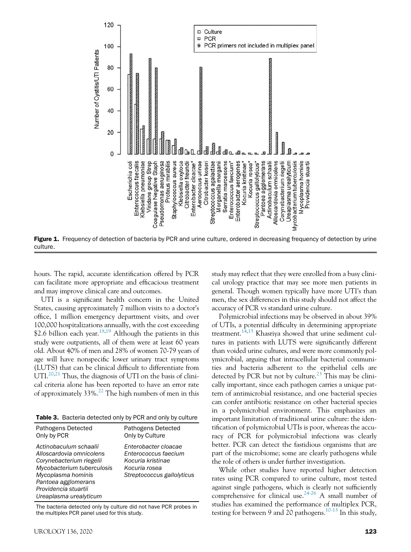

Figure 1. Frequency of detection of bacteria by PCR and urine culture, ordered in decreasing frequency of detection by urine culture.

hours. The rapid, accurate identification offered by PCR can facilitate more appropriate and efficacious treatment and may improve clinical care and outcomes.

UTI is a significant health concern in the United States, causing approximately 7 million visits to a doctor's office, 1 million emergency department visits, and over 100,000 hospitalizations annually, with the cost exceeding \$2.6 billion each year.<sup>18,19</sup> Although the patients in this study were outpatients, all of them were at least 60 years old. About 40% of men and 28% of women 70-79 years of age will have nonspecific lower urinary tract symptoms (LUTS) that can be clinical difficult to differentiate from UTI.<sup>20,21</sup> Thus, the diagnosis of UTI on the basis of clinical criteria alone has been reported to have an error rate of approximately  $33\%$ <sup>22</sup>. The high numbers of men in this

Table 3. Bacteria detected only by PCR and only by culture

| Pathogens Detected                                                                                                                                                                                          | <b>Pathogens Detected</b>                                                                                        |
|-------------------------------------------------------------------------------------------------------------------------------------------------------------------------------------------------------------|------------------------------------------------------------------------------------------------------------------|
| Only by PCR                                                                                                                                                                                                 | Only by Culture                                                                                                  |
| Actinobaculum schaalii<br>Alloscardovia omnicolens<br>Corynebacterium riegelii<br>Mycobacterium tuberculosis<br>Mycoplasma hominis<br>Pantoea agglomerans<br>Providencia stuartii<br>Ureaplasma urealyticum | Enterobacter cloacae<br>Enterococcus faecium<br>Kocuria kristinae<br>Kocuria rosea<br>Streptococcus gallolyticus |

The bacteria detected only by culture did not have PCR probes in the multiplex PCR panel used for this study.

study may reflect that they were enrolled from a busy clinical urology practice that may see more men patients in general. Though women typically have more UTI's than men, the sex differences in this study should not affect the accuracy of PCR vs standard urine culture.

Polymicrobial infections may be observed in about 39% of UTIs, a potential difficulty in determining appropriate treatment.<sup>14,15</sup> Khasriya showed that urine sediment cultures in patients with LUTS were significantly different than voided urine cultures, and were more commonly polymicrobial, arguing that intracellular bacterial communities and bacteria adherent to the epithelial cells are detected by PCR but not by culture.<sup>23</sup> This may be clinically important, since each pathogen carries a unique pattern of antimicrobial resistance, and one bacterial species can confer antibiotic resistance on other bacterial species in a polymicrobial environment. This emphasizes an important limitation of traditional urine culture: the identification of polymicrobial UTIs is poor, whereas the accuracy of PCR for polymicrobial infections was clearly better. PCR can detect the fastidious organisms that are part of the microbiome; some are clearly pathogens while the role of others is under further investigation.

While other studies have reported higher detection rates using PCR compared to urine culture, most tested against single pathogens, which is clearly not sufficiently comprehensive for clinical use.<sup>24-26</sup> A small number of studies has examined the performance of multiplex PCR, testing for between 9 and 20 pathogens.<sup>10-13</sup> In this study,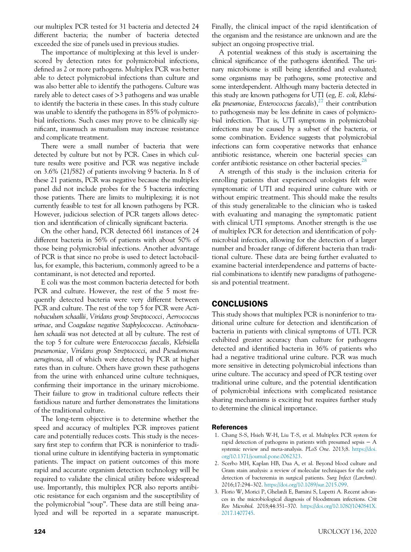our multiplex PCR tested for 31 bacteria and detected 24 different bacteria; the number of bacteria detected exceeded the size of panels used in previous studies.

The importance of multiplexing at this level is underscored by detection rates for polymicrobial infections, defined as 2 or more pathogens. Multiplex PCR was better able to detect polymicrobial infections than culture and was also better able to identify the pathogens. Culture was rarely able to detect cases of >3 pathogens and was unable to identify the bacteria in these cases. In this study culture was unable to identify the pathogens in 85% of polymicrobial infections. Such cases may prove to be clinically significant, inasmuch as mutualism may increase resistance and complicate treatment.

There were a small number of bacteria that were detected by culture but not by PCR. Cases in which culture results were positive and PCR was negative include on 3.6% (21/582) of patients involving 9 bacteria. In 8 of these 21 patients, PCR was negative because the multiplex panel did not include probes for the 5 bacteria infecting those patients. There are limits to multiplexing; it is not currently feasible to test for all known pathogens by PCR. However, judicious selection of PCR targets allows detection and identification of clinically significant bacteria.

On the other hand, PCR detected 661 instances of 24 different bacteria in 56% of patients with about 50% of those being polymicrobial infections. Another advantage of PCR is that since no probe is used to detect lactobacillus, for example, this bacterium, commonly agreed to be a contaminant, is not detected and reported.

E coli was the most common bacteria detected for both PCR and culture. However, the rest of the 5 most frequently detected bacteria were very different between PCR and culture. The rest of the top 5 for PCR were *Actinobaculum schaallii, Viridans group Streptococci, Aerrococcus urinae*, and *Coagulase negative Staphylococcus. Actinobaculum schaalii* was not detected at all by culture. The rest of the top 5 for culture were *Enterococcus faecalis, Klebsiella pneumoniae, Viridans group Streptococci*, and *Pseudomonas aeruginosa*, all of which were detected by PCR at higher rates than in culture. Others have grown these pathogens from the urine with enhanced urine culture techniques, confirming their importance in the urinary microbiome. Their failure to grow in traditional culture reflects their fastidious nature and further demonstrates the limitations of the traditional culture.

The long-term objective is to determine whether the speed and accuracy of multiplex PCR improves patient care and potentially reduces costs. This study is the necessary first step to confirm that PCR is noninferior to traditional urine culture in identifying bacteria in symptomatic patients. The impact on patient outcomes of this more rapid and accurate organism detection technology will be required to validate the clinical utility before widespread use. Importantly, this multiplex PCR also reports antibiotic resistance for each organism and the susceptibility of the polymicrobial "soup". These data are still being analyzed and will be reported in a separate manuscript.

Finally, the clinical impact of the rapid identification of the organism and the resistance are unknown and are the subject an ongoing prospective trial.

A potential weakness of this study is ascertaining the clinical significance of the pathogens identified. The urinary microbiome is still being identified and evaluated; some organisms may be pathogens, some protective and some interdependent. Although many bacteria detected in this study are known pathogens for UTI (eg, *E. coli*, *Klebsiella pneumoniae, Enterococcus faecalis*),<sup>27</sup> their contribution to pathogenesis may be less definite in cases of polymicrobial infection. That is, UTI symptoms in polymicrobial infections may be caused by a subset of the bacteria, or some combination. Evidence suggests that polymicrobial infections can form cooperative networks that enhance antibiotic resistance, wherein one bacterial species can confer antibiotic resistance on other bacterial species.<sup>28</sup>

A strength of this study is the inclusion criteria for enrolling patients that experienced urologists felt were symptomatic of UTI and required urine culture with or without empiric treatment. This should make the results of this study generalizable to the clinician who is tasked with evaluating and managing the symptomatic patient with clinical UTI symptoms. Another strength is the use of multiplex PCR for detection and identification of polymicrobial infection, allowing for the detection of a larger number and broader range of different bacteria than traditional culture. These data are being further evaluated to examine bacterial interdependence and patterns of bacterial combinations to identify new paradigms of pathogenesis and potential treatment.

# **CONCLUSIONS**

This study shows that multiplex PCR is noninferior to traditional urine culture for detection and identification of bacteria in patients with clinical symptoms of UTI. PCR exhibited greater accuracy than culture for pathogens detected and identified bacteria in 36% of patients who had a negative traditional urine culture. PCR was much more sensitive in detecting polymicrobial infections than urine culture. The accuracy and speed of PCR testing over traditional urine culture, and the potential identification of polymicrobial infections with complicated resistance sharing mechanisms is exciting but requires further study to determine the clinical importance.

## References

- 1. Chang S-S, Hsieh W-H, Liu T-S, et al. Multiplex PCR system for rapid detection of pathogens in patients with presumed sepsis − A systemic review and meta-analysis. *PLoS One*. 2013;8. https://doi. org/10.1371/journal.pone.0062323.
- 2. Scerbo MH, Kaplan HB, Dua A, et al. Beyond blood culture and Gram stain analysis: a review of molecular techniques for the early detection of bacteremia in surgical patients. *Surg Infect (Larchmt)*. 2016;17:294–302. https://doi.org/10.1089/sur.2015.099.
- 3. Florio W, Morici P, Ghelardi E, Barnini S, Lupetti A. Recent advances in the microbiological diagnosis of bloodstream infections. *Crit Rev Microbiol*. 2018;44:351–370. https://doi.org/10.1080/1040841X. 2017.1407745.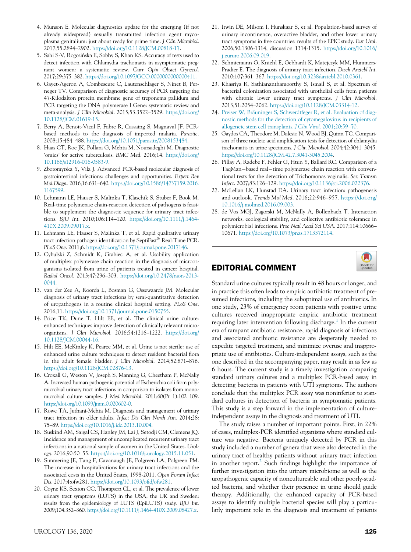- 4. Munson E. Molecular diagnostics update for the emerging (if not already widespread) sexually transmitted infection agent mycoplasma genitalium: just about ready for prime time. *J Clin Microbiol*. 2017;55:2894–2902. https://doi.org/10.1128/JCM.00818-17.
- 5. Sahi S-V, Rogozinska E, Sobhy S, Khan KS. Accuracy of tests used to detect infection with Chlamydia trachomatis in asymptomatic pregnant women: a systematic review. *Curr Opin Obstet Gynecol*. 2017;29:375–382. https://doi.org/10.1097/GCO.0000000000000411.
- 6. Gayet-Ageron A, Combescure C, Lautenschlager S, Ninet B, Perneger TV. Comparison of diagnostic accuracy of PCR targeting the 47-Kilodalton protein membrane gene of treponema pallidum and PCR targeting the DNA polymerase I Gene: systematic review and meta-analysis. *J Clin Microbiol*. 2015;53:3522–3529. https://doi.org/ 10.1128/JCM.01619-15.
- 7. Berry A, Benoit-Vical F, Fabre R, Cassaing S, Magnaval JF. PCRbased methods to the diagnosis of imported malaria. *Parasite*. 2008;15:484–488. https://doi.org/10.1051/parasite/2008153484.
- 8. Haas CT, Roe JK, Pollara G, Mehta M, Noursadeghi M. Diagnostic 'omics' for active tuberculosis. *BMC Med*. 2016;14. https://doi.org/ 10.1186/s12916-016-0583-9.
- 9. Zboromyrska Y, Vila J. Advanced PCR-based molecular diagnosis of gastrointestinal infections: challenges and opportunities. *Expert Rev Mol Diagn*. 2016;16:631–640. https://doi.org/10.1586/14737159.2016. 1167599.
- 10. Lehmann LE, Hauser S, Malinka T, Klaschik S, Stüber F, Book M. Real-time polymerase chain-reaction detection of pathogens is feasible to supplement the diagnostic sequence for urinary tract infections. *BJU Int*. 2010;106:114–120. https://doi.org/10.1111/j.1464- 410X.2009.09017.x.
- 11. Lehmann LE, Hauser S, Malinka T, et al. Rapid qualitative urinary tract infection pathogen identification by SeptiFast® Real-Time PCR. *PLoS One*. 2011;6. https://doi.org/10.1371/journal.pone.0017146.
- 12. Cybulski Z, Schmidt K, Grabiec A, et al. Usability application of multiplex polymerase chain reaction in the diagnosis of microorganisms isolated from urine of patients treated in cancer hospital. *Radiol Oncol*. 2013;47:296–303. https://doi.org/10.2478/raon-2013- 0044.
- 13. van der Zee A, Roorda L, Bosman G, Ossewaarde JM. Molecular diagnosis of urinary tract infections by semi-quantitative detection of uropathogens in a routine clinical hospital setting. *PLoS One*. 2016;11. https://doi.org/10.1371/journal.pone.0150755.
- 14. Price TK, Dune T, Hilt EE, et al. The clinical urine culture: enhanced techniques improve detection of clinically relevant microorganisms. *J Clin Microbiol*. 2016;54:1216–1222. https://doi.org/ 10.1128/JCM.00044-16.
- 15. Hilt EE, McKinley K, Pearce MM, et al. Urine is not sterile: use of enhanced urine culture techniques to detect resident bacterial flora in the adult female bladder. *J Clin Microbiol*. 2014;52:871–876. https://doi.org/10.1128/JCM.02876-13.
- 16. Croxall G, Weston V, Joseph S, Manning G, Cheetham P, McNally A. Increased human pathogenic potential of Escherichia coli from polymicrobial urinary tract infections in comparison to isolates from monomicrobial culture samples. *J Med Microbiol*. 2011;60(Pt 1):102–109. https://doi.org/10.1099/jmm.0.020602-0.
- 17. Rowe TA, Juthani-Mehta M. Diagnosis and management of urinary tract infection in older adults. *Infect Dis Clin North Am*. 2014;28: 75–89. https://doi.org/10.1016/j.idc.2013.10.004.
- 18. Suskind AM, Saigal CS, Hanley JM, Lai J, Setodji CM, Clemens JQ. Incidence and management of uncomplicated recurrent urinary tract infections in a national sample of women in the United States. *Urology*. 2016;90:50–55. https://doi.org/10.1016/j.urology.2015.11.051.
- 19. Simmering JE, Tang F, Cavanaugh JE, Polgreen LA, Polgreen PM. The increase in hospitalizations for urinary tract infections and the associated costs in the United States, 1998-2011. *Open Forum Infect Dis*. 2017;4:ofw281. https://doi.org/10.1093/ofid/ofw281.
- 20. Coyne KS, Sexton CC, Thompson CL, et al. The prevalence of lower urinary tract symptoms (LUTS) in the USA, the UK and Sweden: results from the epidemiology of LUTS (EpiLUTS) study. *BJU Int*. 2009;104:352–360. https://doi.org/10.1111/j.1464-410X.2009.08427.x.
- UROLOGY 136, 2020 **125**
- 21. Irwin DE, Milsom I, Hunskaar S, et al. Population-based survey of urinary incontinence, overactive bladder, and other lower urinary tract symptoms in five countries: results of the EPIC study. *Eur Urol*. 2006;50:1306-1314; discussion 1314-1315. https://doi.org/10.1016/ j.eururo.2006.09.019.
- 22. Schmiemann G, Kniehl E, Gebhardt K, Matejczyk MM, Hummers-Pradier E. The diagnosis of urinary tract infection. *Dtsch Arztebl Int*. 2010;107:361–367. https://doi.org/10.3238/arztebl.2010.0361.
- 23. Khasriya R, Sathiananthamoorthy S, Ismail S, et al. Spectrum of bacterial colonization associated with urothelial cells from patients with chronic lower urinary tract symptoms. *J Clin Microbiol*. 2013;51:2054–2062. https://doi.org/10.1128/JCM.03314-12.
- 24. Preiser W, Bräuninger S, Schwerdtfeger R, et al. Evaluation of diagnostic methods for the detection of cytomegalovirus in recipients of allogeneic stem cell transplants. *J Clin Virol*. 2001;20:59–70.
- 25. Gaydos CA, Theodore M, Dalesio N, Wood BJ, Quinn TC. Comparison of three nucleic acid amplification tests for detection of chlamydia trachomatis in urine specimens. *J Clin Microbiol*. 2004;42:3041–3045. https://doi.org/10.1128/JCM.42.7.3041-3045.2004.
- 26. Pillay A, Radebe F, Fehler G, Htun Y, Ballard RC. Comparison of a TaqMan-based real-time polymerase chain reaction with conventional tests for the detection of Trichomonas vaginalis. *Sex Transm Infect*. 2007;83:126–129. https://doi.org/10.1136/sti.2006.022376.
- 27. McLellan LK, Hunstad DA. Urinary tract infection: pathogenesis and outlook. *Trends Mol Med*. 2016;22:946–957. https://doi.org/ 10.1016/j.molmed.2016.09.003.
- 28. de Vos MGJ, Zagorski M, McNally A, Bollenbach T. Interaction networks, ecological stability, and collective antibiotic tolerance in polymicrobial infections. *Proc Natl Acad Sci USA*. 2017;114:10666– 10671. https://doi.org/10.1073/pnas.1713372114.

# EDITORIAL COMMENT



independent assays in the diagnosis and treatment of UTI. The study raises a number of important points. First, in 22% of cases, multiplex-PCR identified organisms where standard culture was negative. Bacteria uniquely detected by PCR in this study included a number of genera that were also detected in the urinary tract of healthy patients without urinary tract infection in another report.<sup>2</sup> Such findings highlight the importance of further investigation into the urinary microbiome as well as the uropathogenic capacity of noncultureable and other poorly-studied bacteria, and whether their presence in urine should guide therapy. Additionally, the enhanced capacity of PCR-based assays to identify multiple bacterial species will play a particularly important role in the diagnosis and treatment of patients

This study is a step forward in the implementation of culture-